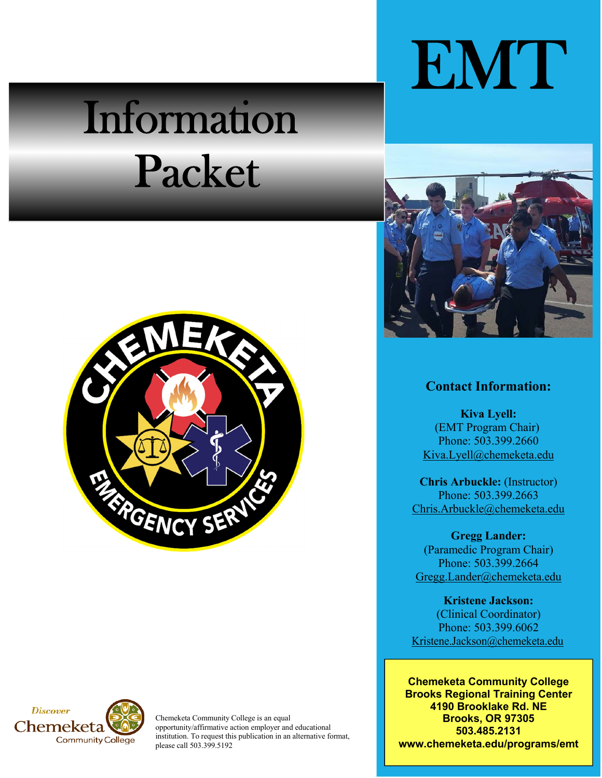## Information Packet





Chemeketa Community College is an equal opportunity/affirmative action employer and educational institution. To request this publication in an alternative format, please call 503.399.5192

# EMT



## **Contact Information:**

**Kiva Lyell:**  (EMT Program Chair) Phone: 503.399.2660 Kiva.Lyell@chemeketa.edu

**Chris Arbuckle:** (Instructor) Phone: 503.399.2663 Chris.Arbuckle@chemeketa.edu

**Gregg Lander:**  (Paramedic Program Chair) Phone: 503.399.2664 Gregg.Lander@chemeketa.edu

**Kristene Jackson:**  (Clinical Coordinator) Phone: 503.399.6062 Kristene.Jackson@chemeketa.edu

**Chemeketa Community College Brooks Regional Training Center 4190 Brooklake Rd. NE Brooks, OR 97305 503.485.2131 www.chemeketa.edu/programs/emt**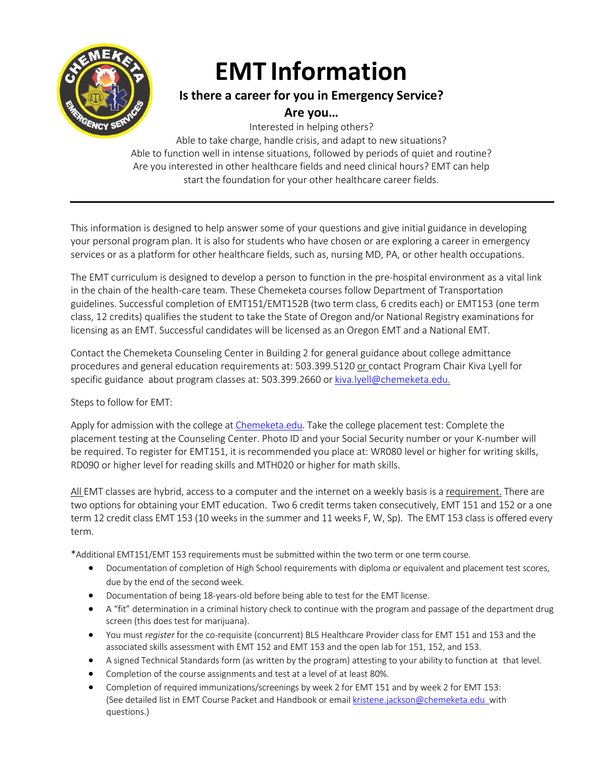

## **EMT Information**

## **Is there a career for you in Emergency Service?**

## **Are you…**

Interested in helping others? Able to take charge, handle crisis, and adapt to new situations? Able to function well in intense situations, followed by periods of quiet and routine? Are you interested in other healthcare fields and need clinical hours? EMT can help start the foundation for your other healthcare career fields.

This information is designed to help answer some of your questions and give initial guidance in developing your personal program plan. It is also for students who have chosen or are exploring a career in emergency services or as a platform for other healthcare fields, such as, nursing MD, PA, or other health occupations.

The EMT curriculum is designed to develop a person to function in the pre‐hospital environment as a vital link in the chain of the health‐care team. These Chemeketa courses follow Department of Transportation guidelines. Successful completion of EMT151/EMT152B (two term class, 6 credits each) or EMT153 (one term class, 12 credits) qualifies the student to take the State of Oregon and/or National Registry examinations for licensing as an EMT. Successful candidates will be licensed as an Oregon EMT and a National EMT.

Contact the Chemeketa Counseling Center in Building 2 for general guidance about college admittance procedures and general education requirements at: 503.399.5120 or contact Program Chair Kiva Lyell for specific guidance about program classes at: 503.399.2660 or kiva.lyell@chemeketa.edu.

## Steps to follow for EMT:

Apply for admission with the college at Chemeketa.edu. Take the college placement test: Complete the placement testing at the Counseling Center. Photo ID and your Social Security number or your K-number will be required. To register for EMT151, it is recommended you place at: WR080 level or higher for writing skills, RD090 or higher level for reading skills and MTH020 or higher for math skills.

All EMT classes are hybrid, access to a computer and the internet on a weekly basis is a requirement. There are two options for obtaining your EMT education. Two 6 credit terms taken consecutively, EMT 151 and 152 or a one term 12 credit class EMT 153 (10 weeks in the summer and 11 weeks F, W, Sp). The EMT 153 class is offered every term.

\*Additional EMT151/EMT 153 requirements must be submittedwithin the two term or one term course.

- Documentation of completion of High School requirements with diploma or equivalent and placement test scores, due by the end of the second week.
- Documentation of being 18-years-old before being able to test for the EMT license.
- A "fit" determination in a criminal history check to continue with the program and passage of the department drug screen (this does test for marijuana).
- You must *register* for the co-requisite (concurrent) BLS Healthcare Provider class for EMT 151 and 153 and the associated skills assessment with EMT 152 and EMT 153 and the open lab for 151, 152, and 153.
- A signed Technical Standards form (as written by the program) attesting to your ability to function at that level.
- Completion of the course assignments and test at a level of at least 80%.
- Completion of required immunizations/screenings by week 2 for EMT 151 and by week 2 for EMT 153: (See detailed list in EMT Course Packet and Handbook or email kristene.jackson@chemeketa.edu with questions.)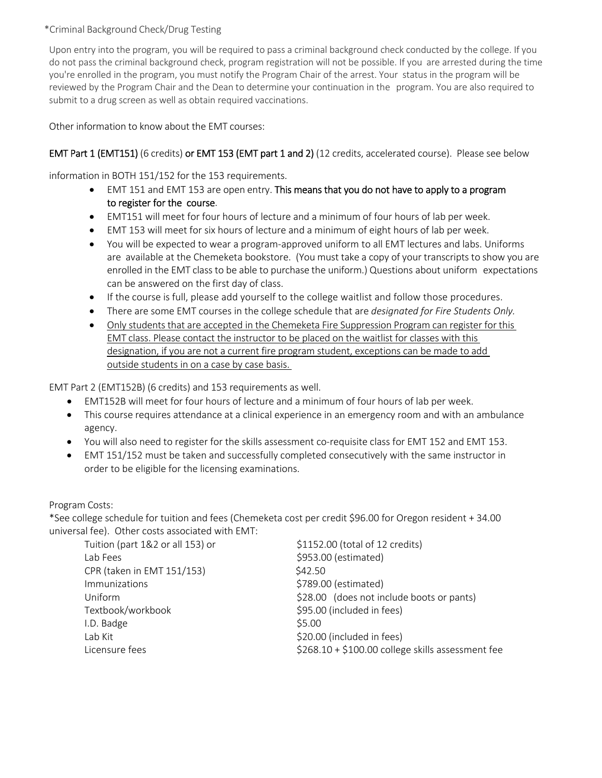## \*Criminal Background Check/Drug Testing

Upon entry into the program, you will be required to pass a criminal background check conducted by the college. If you do not pass the criminal background check, program registration will not be possible. If you are arrested during the time you're enrolled in the program, you must notify the Program Chair of the arrest. Your status in the program will be reviewed by the Program Chair and the Dean to determine your continuation in the program. You are also required to submit to a drug screen as well as obtain required vaccinations.

Other information to know about the EMT courses:

## EMT Part 1 (EMT151) (6 credits) or EMT 153 (EMT part 1 and 2) (12 credits, accelerated course). Please see below

information in BOTH 151/152 for the 153 requirements.

- EMT 151 and EMT 153 are open entry. This means that you do not have to apply to a program to register for the course.
- EMT151 will meet for four hours of lecture and a minimum of four hours of lab per week.
- EMT 153 will meet for six hours of lecture and a minimum of eight hours of lab per week.
- You will be expected to wear a program‐approved uniform to all EMT lectures and labs. Uniforms are available at the Chemeketa bookstore. (You must take a copy of your transcripts to show you are enrolled in the EMT class to be able to purchase the uniform.) Questions about uniform expectations can be answered on the first day of class.
- If the course is full, please add yourself to the college waitlist and follow those procedures.
- There are some EMT courses in the college schedule that are *designated for Fire Students Only.*
- Only students that are accepted in the Chemeketa Fire Suppression Program can register for this EMT class. Please contact the instructor to be placed on the waitlist for classes with this designation, if you are not a current fire program student, exceptions can be made to add outside students in on a case by case basis.

EMT Part 2 (EMT152B) (6 credits) and 153 requirements as well.

- EMT152B will meet for four hours of lecture and a minimum of four hours of lab per week.
- This course requires attendance at a clinical experience in an emergency room and with an ambulance agency.
- You will also need to register for the skills assessment co-requisite class for EMT 152 and EMT 153.
- EMT 151/152 must be taken and successfully completed consecutively with the same instructor in order to be eligible for the licensing examinations.

Program Costs:

\*See college schedule for tuition and fees (Chemeketa cost per credit \$96.00 for Oregon resident + 34.00 universal fee). Other costs associated with EMT:

| Tuition (part 1&2 or all 153) or | \$1152.00 (total of 12 credits)                   |
|----------------------------------|---------------------------------------------------|
| Lab Fees                         | \$953.00 (estimated)                              |
| CPR (taken in EMT 151/153)       | \$42.50                                           |
| Immunizations                    | \$789.00 (estimated)                              |
| Uniform                          | \$28.00 (does not include boots or pants)         |
| Textbook/workbook                | \$95.00 (included in fees)                        |
| I.D. Badge                       | \$5.00                                            |
| Lab Kit                          | \$20.00 (included in fees)                        |
| Licensure fees                   | \$268.10 + \$100.00 college skills assessment fee |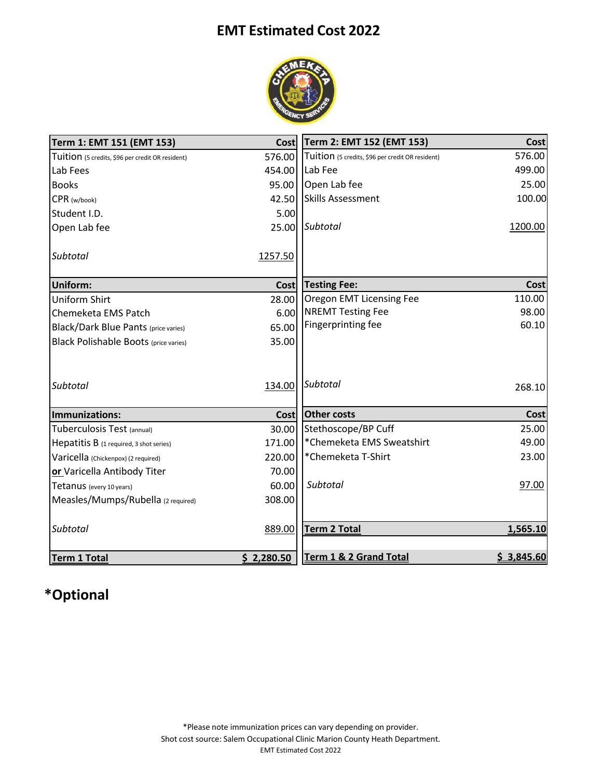## **EMT Estimated Cost 2022**



| Term 1: EMT 151 (EMT 153)                        | <b>Cost</b> | Term 2: EMT 152 (EMT 153)                        | <b>Cost</b> |
|--------------------------------------------------|-------------|--------------------------------------------------|-------------|
| Tuition (5 credits, \$96 per credit OR resident) | 576.00      | Tuition (5 credits, \$96 per credit OR resident) | 576.00      |
| Lab Fees                                         | 454.00      | Lab Fee                                          | 499.00      |
| <b>Books</b>                                     | 95.00       | Open Lab fee                                     | 25.00       |
| CPR (w/book)                                     | 42.50       | <b>Skills Assessment</b>                         | 100.00      |
| Student I.D.                                     | 5.00        |                                                  |             |
| Open Lab fee                                     | 25.00       | Subtotal                                         | 1200.00     |
| Subtotal                                         | 1257.50     |                                                  |             |
| Uniform:                                         | <b>Cost</b> | <b>Testing Fee:</b>                              | Cost        |
| <b>Uniform Shirt</b>                             | 28.00       | Oregon EMT Licensing Fee                         | 110.00      |
| Chemeketa EMS Patch                              | 6.00        | <b>NREMT Testing Fee</b>                         | 98.00       |
| <b>Black/Dark Blue Pants (price varies)</b>      | 65.00       | Fingerprinting fee                               | 60.10       |
| <b>Black Polishable Boots (price varies)</b>     | 35.00       |                                                  |             |
| <b>Subtotal</b>                                  | 134.00      | <b>Subtotal</b>                                  | 268.10      |
| Immunizations:                                   | Cost        | <b>Other costs</b>                               | Cost        |
| Tuberculosis Test (annual)                       | 30.00       | Stethoscope/BP Cuff                              | 25.00       |
| Hepatitis B (1 required, 3 shot series)          | 171.00      | *Chemeketa EMS Sweatshirt                        | 49.00       |
| Varicella (Chickenpox) (2 required)              | 220.00      | *Chemeketa T-Shirt                               | 23.00       |
| or Varicella Antibody Titer                      | 70.00       |                                                  |             |
| Tetanus (every 10 years)                         | 60.00       | Subtotal                                         | 97.00       |
| Measles/Mumps/Rubella (2 required)               | 308.00      |                                                  |             |
|                                                  |             |                                                  |             |
| <b>Subtotal</b>                                  | 889.00      | <b>Term 2 Total</b>                              | 1,565.10    |
|                                                  |             |                                                  |             |
| <b>Term 1 Total</b>                              | \$2,280.50  | <b>Term 1 &amp; 2 Grand Total</b>                | \$3,845.60  |

## **\*Optional**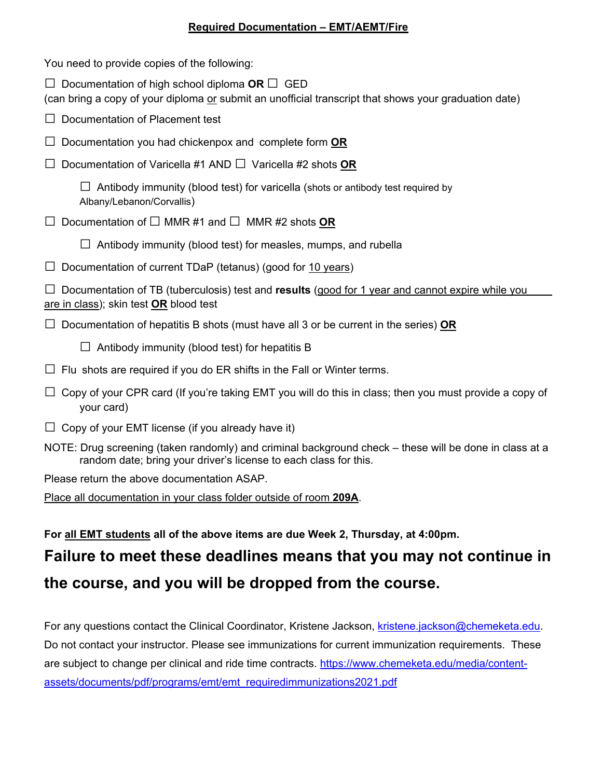## **Required Documentation – EMT/AEMT/Fire**

| You need to provide copies of the following:                                                                                                                               |
|----------------------------------------------------------------------------------------------------------------------------------------------------------------------------|
| $\Box$ Documentation of high school diploma OR $\Box$ GED<br>(can bring a copy of your diploma or submit an unofficial transcript that shows your graduation date)         |
| $\Box$ Documentation of Placement test                                                                                                                                     |
| $\Box$ Documentation you had chickenpox and complete form $\mathsf{OR}$                                                                                                    |
| $\Box$ Documentation of Varicella #1 AND $\Box$ Varicella #2 shots OR                                                                                                      |
| $\Box$ Antibody immunity (blood test) for varicella (shots or antibody test required by<br>Albany/Lebanon/Corvallis)                                                       |
| $\Box$ Documentation of $\Box$ MMR #1 and $\Box$ MMR #2 shots OR                                                                                                           |
| $\Box$ Antibody immunity (blood test) for measles, mumps, and rubella                                                                                                      |
| $\Box$ Documentation of current TDaP (tetanus) (good for 10 years)                                                                                                         |
| $\Box$ Documentation of TB (tuberculosis) test and <b>results</b> (good for 1 year and cannot expire while you<br><u>are in class);</u> skin test <b>OR</b> blood test     |
| $\Box$ Documentation of hepatitis B shots (must have all 3 or be current in the series) OR                                                                                 |
| Antibody immunity (blood test) for hepatitis B                                                                                                                             |
| $\Box$ Flu shots are required if you do ER shifts in the Fall or Winter terms.                                                                                             |
| $\Box$ Copy of your CPR card (If you're taking EMT you will do this in class; then you must provide a copy of<br>your card)                                                |
| $\Box$ Copy of your EMT license (if you already have it)                                                                                                                   |
| NOTE: Drug screening (taken randomly) and criminal background check – these will be done in class at a<br>random date; bring your driver's license to each class for this. |
| Please return the above documentation ASAP.                                                                                                                                |
|                                                                                                                                                                            |

Place all documentation in your class folder outside of room **209A**.

**For all EMT students all of the above items are due Week 2, Thursday, at 4:00pm.** 

## **Failure to meet these deadlines means that you may not continue in the course, and you will be dropped from the course.**

For any questions contact the Clinical Coordinator, Kristene Jackson, kristene.jackson@chemeketa.edu. Do not contact your instructor. Please see immunizations for current immunization requirements. These are subject to change per clinical and ride time contracts. https://www.chemeketa.edu/media/contentassets/documents/pdf/programs/emt/emt\_requiredimmunizations2021.pdf